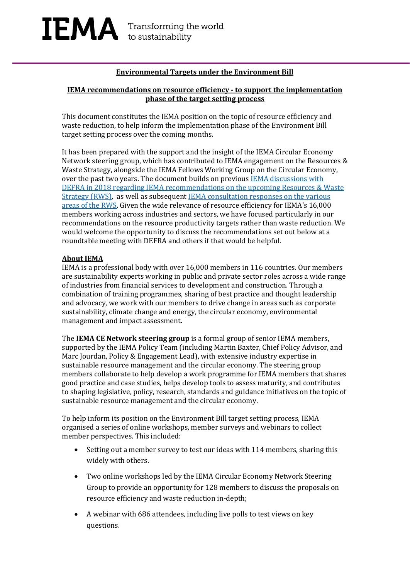### **Environmental Targets under the Environment Bill**

### **IEMA recommendations on resource efficiency - to support the implementation phase of the target setting process**

This document constitutes the IEMA position on the topic of resource efficiency and waste reduction, to help inform the implementation phase of the Environment Bill target setting process over the coming months.

It has been prepared with the support and the insight of the IEMA Circular Economy Network steering group, which has contributed to IEMA engagement on the Resources & Waste Strategy, alongside the IEMA Fellows Working Group on the Circular Economy, over the past two years. The document builds on previous IEMA discussions with [DEFRA in 2018 regarding IEMA recommendations on the upcoming Resources & Waste](https://www.iema.net/resources/news/2018/05/31/no-place-for-waste-iema-fellows-make-recommendations-for-upcoming-resources-and-waste-strategy/)  [Strategy \(RWS\),](https://www.iema.net/resources/news/2018/05/31/no-place-for-waste-iema-fellows-make-recommendations-for-upcoming-resources-and-waste-strategy/) as well as subsequen[t IEMA consultation](https://www.iema.net/resources/news/2019/05/21/iema-submits-consultation-responses-under-the-resources-and-waste-strategy) responses on the various areas [of the RWS.](https://www.iema.net/resources/news/2019/05/21/iema-submits-consultation-responses-under-the-resources-and-waste-strategy) Given the wide relevance of resource efficiency for IEMA's 16,000 members working across industries and sectors, we have focused particularly in our recommendations on the resource productivity targets rather than waste reduction. We would welcome the opportunity to discuss the recommendations set out below at a roundtable meeting with DEFRA and others if that would be helpful.

### **About IEMA**

IEMA is a professional body with over 16,000 members in 116 countries. Our members are sustainability experts working in public and private sector roles across a wide range of industries from financial services to development and construction. Through a combination of training programmes, sharing of best practice and thought leadership and advocacy, we work with our members to drive change in areas such as corporate sustainability, climate change and energy, the circular economy, environmental management and impact assessment.

The **IEMA CE Network steering group** is a formal group of senior IEMA members, supported by the IEMA Policy Team (including Martin Baxter, Chief Policy Advisor, and Marc Jourdan, Policy & Engagement Lead), with extensive industry expertise in sustainable resource management and the circular economy. The steering group members collaborate to help develop a work programme for IEMA members that shares good practice and case studies, helps develop tools to assess maturity, and contributes to shaping legislative, policy, research, standards and guidance initiatives on the topic of sustainable resource management and the circular economy.

To help inform its position on the Environment Bill target setting process, IEMA organised a series of online workshops, member surveys and webinars to collect member perspectives. This included:

- Setting out a member survey to test our ideas with 114 members, sharing this widely with others.
- Two online workshops led by the IEMA Circular Economy Network Steering Group to provide an opportunity for 128 members to discuss the proposals on resource efficiency and waste reduction in-depth;
- A webinar with 686 attendees, including live polls to test views on key questions.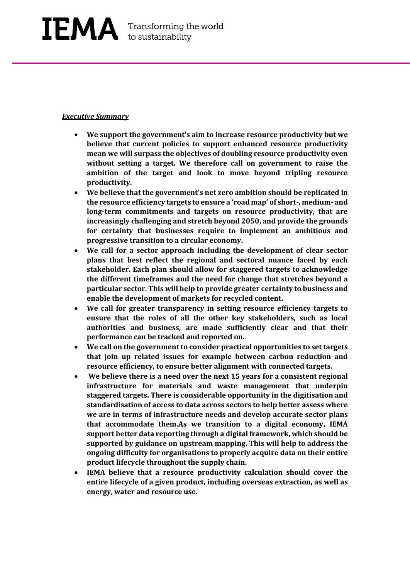### *Executive Summary*

- **We support the government's aim to increase resource productivity but we believe that current policies to support enhanced resource productivity mean we will surpass the objectives of doubling resource productivity even without setting a target. We therefore call on government to raise the ambition of the target and look to move beyond tripling resource productivity.**
- **We believe that the government's net zero ambition should be replicated in the resource efficiency targets to ensure a 'road map' of short-, medium- and long-term commitments and targets on resource productivity, that are increasingly challenging and stretch beyond 2050, and provide the grounds for certainty that businesses require to implement an ambitious and progressive transition to a circular economy.**
- **We call for a sector approach including the development of clear sector plans that best reflect the regional and sectoral nuance faced by each stakeholder. Each plan should allow for staggered targets to acknowledge the different timeframes and the need for change that stretches beyond a particular sector. This will help to provide greater certainty to business and enable the development of markets for recycled content.**
- **We call for greater transparency in setting resource efficiency targets to ensure that the roles of all the other key stakeholders, such as local authorities and business, are made sufficiently clear and that their performance can be tracked and reported on.**
- **We call on the government to consider practical opportunities to set targets that join up related issues for example between carbon reduction and resource efficiency, to ensure better alignment with connected targets.**
- **We believe there is a need over the next 15 years for a consistent regional infrastructure for materials and waste management that underpin staggered targets. There is considerable opportunity in the digitisation and standardisation of access to data across sectors to help better assess where we are in terms of infrastructure needs and develop accurate sector plans that accommodate them.As we transition to a digital economy, IEMA support better data reporting through a digital framework, which should be supported by guidance on upstream mapping. This will help to address the ongoing difficulty for organisations to properly acquire data on their entire product lifecycle throughout the supply chain.**
- **IEMA believe that a resource productivity calculation should cover the entire lifecycle of a given product, including overseas extraction, as well as energy, water and resource use.**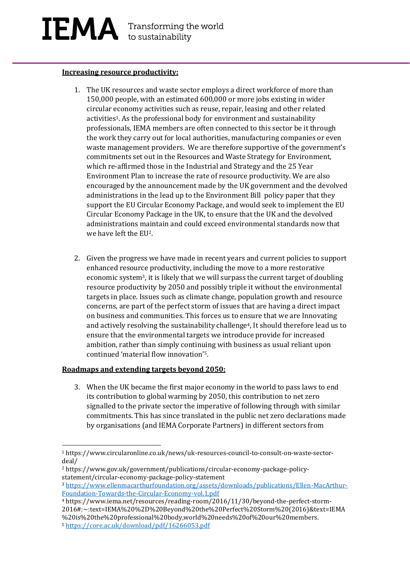## IEMA Transforming the world

### **Increasing resource productivity:**

- 1. The UK resources and waste sector employs a direct workforce of more than 150,000 people, with an estimated 600,000 or more jobs existing in wider circular economy activities such as reuse, repair, leasing and other related activities1. As the professional body for environment and sustainability professionals, IEMA members are often connected to this sector be it through the work they carry out for local authorities, manufacturing companies or even waste management providers.We are therefore supportive of the government's commitments set out in the Resources and Waste Strategy for Environment, which re-affirmed those in the Industrial and Strategy and the 25 Year Environment Plan to increase the rate of resource productivity. We are also encouraged by the announcement made by the UK government and the devolved administrations in the lead up to the Environment Bill policy paper that they support the EU Circular Economy Package, and would seek to implement the EU Circular Economy Package in the UK, to ensure that the UK and the devolved administrations maintain and could exceed environmental standards now that we have left the EU2.
- 2. Given the progress we have made in recent years and current policies to support enhanced resource productivity, including the move to a more restorative economic system3, it is likely that we will surpass the current target of doubling resource productivity by 2050 and possibly triple it without the environmental targets in place. Issues such as climate change, population growth and resource concerns, are part of the perfect storm of issues that are having a direct impact on business and communities. This forces us to ensure that we are Innovating and actively resolving the sustainability challenge4, It should therefore lead us to ensure that the environmental targets we introduce provide for increased ambition, rather than simply continuing with business as usual reliant upon continued 'material flow innovation'5.

### **Roadmaps and extending targets beyond 2050:**

3. When the UK became the first major economy in the world to pass laws to end its contribution to global warming by 2050, this contribution to net zero signalled to the private sector the imperative of following through with similar commitments. This has since translated in the public net zero declarations made by organisations (and IEMA Corporate Partners) in different sectors from

<sup>1</sup> https://www.circularonline.co.uk/news/uk-resources-council-to-consult-on-waste-sectordeal/

<sup>2</sup> https://www.gov.uk/government/publications/circular-economy-package-policystatement/circular-economy-package-policy-statement

<sup>3</sup> [https://www.ellenmacarthurfoundation.org/assets/downloads/publications/Ellen-MacArthur-](https://www.ellenmacarthurfoundation.org/assets/downloads/publications/Ellen-MacArthur-Foundation-Towards-the-Circular-Economy-vol.1.pdf)[Foundation-Towards-the-Circular-Economy-vol.1.pdf](https://www.ellenmacarthurfoundation.org/assets/downloads/publications/Ellen-MacArthur-Foundation-Towards-the-Circular-Economy-vol.1.pdf)

<sup>4</sup> https://www.iema.net/resources/reading-room/2016/11/30/beyond-the-perfect-storm-2016#:~:text=IEMA%20%2D%20Beyond%20the%20Perfect%20Storm%20(2016)&text=IEMA %20is%20the%20professional%20body,world%20needs%20of%20our%20members.

<sup>5</sup> <https://core.ac.uk/download/pdf/16266053.pdf>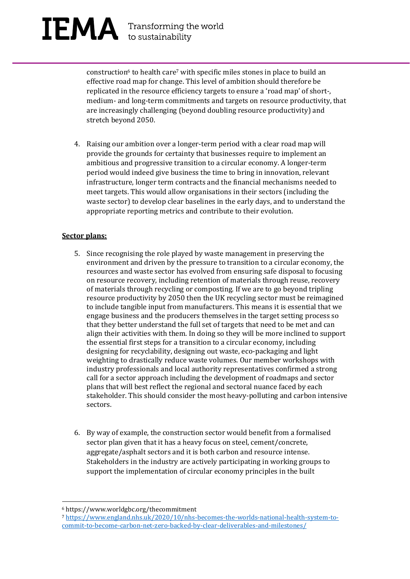# $\mathbf{IEMA}$  Transforming the world

construction<sup>6</sup> to health care<sup>7</sup> with specific miles stones in place to build an effective road map for change. This level of ambition should therefore be replicated in the resource efficiency targets to ensure a 'road map' of short-, medium- and long-term commitments and targets on resource productivity, that are increasingly challenging (beyond doubling resource productivity) and stretch beyond 2050.

4. Raising our ambition over a longer-term period with a clear road map will provide the grounds for certainty that businesses require to implement an ambitious and progressive transition to a circular economy. A longer-term period would indeed give business the time to bring in innovation, relevant infrastructure, longer term contracts and the financial mechanisms needed to meet targets. This would allow organisations in their sectors (including the waste sector) to develop clear baselines in the early days, and to understand the appropriate reporting metrics and contribute to their evolution.

### **Sector plans:**

- 5. Since recognising the role played by waste management in preserving the environment and driven by the pressure to transition to a circular economy, the resources and waste sector has evolved from ensuring safe disposal to focusing on resource recovery, including retention of materials through reuse, recovery of materials through recycling or composting. If we are to go beyond tripling resource productivity by 2050 then the UK recycling sector must be reimagined to include tangible input from manufacturers. This means it is essential that we engage business and the producers themselves in the target setting process so that they better understand the full set of targets that need to be met and can align their activities with them. In doing so they will be more inclined to support the essential first steps for a transition to a circular economy, including designing for recyclability, designing out waste, eco-packaging and light weighting to drastically reduce waste volumes. Our member workshops with industry professionals and local authority representatives confirmed a strong call for a sector approach including the development of roadmaps and sector plans that will best reflect the regional and sectoral nuance faced by each stakeholder. This should consider the most heavy-polluting and carbon intensive sectors.
- 6. By way of example, the construction sector would benefit from a formalised sector plan given that it has a heavy focus on steel, cement/concrete, aggregate/asphalt sectors and it is both carbon and resource intense. Stakeholders in the industry are actively participating in working groups to support the implementation of circular economy principles in the built

<sup>6</sup> https://www.worldgbc.org/thecommitment

<sup>7</sup> [https://www.england.nhs.uk/2020/10/nhs-becomes-the-worlds-national-health-system-to](https://www.england.nhs.uk/2020/10/nhs-becomes-the-worlds-national-health-system-to-commit-to-become-carbon-net-zero-backed-by-clear-deliverables-and-milestones/)[commit-to-become-carbon-net-zero-backed-by-clear-deliverables-and-milestones/](https://www.england.nhs.uk/2020/10/nhs-becomes-the-worlds-national-health-system-to-commit-to-become-carbon-net-zero-backed-by-clear-deliverables-and-milestones/)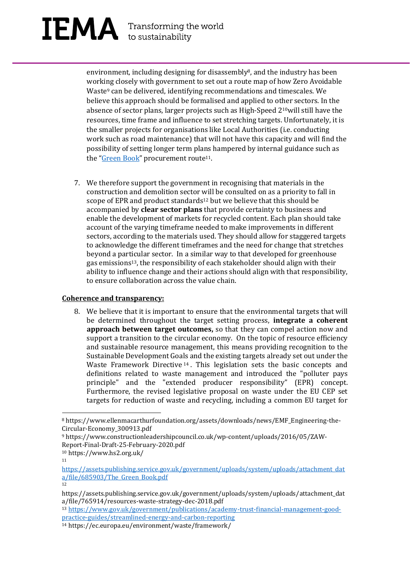# $\mathbf{IEMA}$  Transforming the world

environment, including designing for disassembly<sup>8</sup>, and the industry has been working closely with government to set out a route map of how Zero Avoidable Waste<sup>9</sup> can be delivered, identifying recommendations and timescales. We believe this approach should be formalised and applied to other sectors. In the absence of sector plans, larger projects such as High-Speed 210will still have the resources, time frame and influence to set stretching targets. Unfortunately, it is the smaller projects for organisations like Local Authorities (i.e. conducting work such as road maintenance) that will not have this capacity and will find the possibility of setting longer term plans hampered by internal guidance such as the "[Green Book](https://linkprotect.cudasvc.com/url?a=https%3a%2f%2fice.org.uk%2fnews-and-insight%2fthe-infrastructure-blog%2foctober-2020%2fhow-can-policy-be-reflected-in-the-green-book&c=E,1,DL6mxW4O6-69ZcPXtz8m44ehJTh5pZwTnVEWWjaWnIGTZtG0Vci9WyvxpoqS-PW8OXMTxu7Y-WGfuazA1hAiGc-48sKxOF_9251OTavgCegY&typo=1)" procurement route<sup>11</sup>.

7. We therefore support the government in recognising that materials in the construction and demolition sector will be consulted on as a priority to fall in scope of EPR and product standards<sup>12</sup> but we believe that this should be accompanied by **clear sector plans** that provide certainty to business and enable the development of markets for recycled content. Each plan should take account of the varying timeframe needed to make improvements in different sectors, according to the materials used. They should allow for staggered targets to acknowledge the different timeframes and the need for change that stretches beyond a particular sector. In a similar way to that developed for greenhouse gas emissions<sup>13</sup>, the responsibility of each stakeholder should align with their ability to influence change and their actions should align with that responsibility, to ensure collaboration across the value chain.

### **Coherence and transparency:**

8. We believe that it is important to ensure that the environmental targets that will be determined throughout the target setting process, **integrate a coherent approach between target outcomes,** so that they can compel action now and support a transition to the circular economy. On the topic of resource efficiency and sustainable resource management, this means providing recognition to the Sustainable Development Goals and the existing targets already set out under the Waste Framework Directive  $14$ . This legislation sets the basic concepts and definitions related to waste management and introduced the "polluter pays principle" and the "extended producer responsibility" (EPR) concept. Furthermore, the revised legislative proposal on waste under the EU CEP set targets for reduction of waste and recycling, including a common EU target for

<sup>13</sup> [https://www.gov.uk/government/publications/academy-trust-financial-management-good](https://www.gov.uk/government/publications/academy-trust-financial-management-good-practice-guides/streamlined-energy-and-carbon-reporting)[practice-guides/streamlined-energy-and-carbon-reporting](https://www.gov.uk/government/publications/academy-trust-financial-management-good-practice-guides/streamlined-energy-and-carbon-reporting)

<sup>8</sup> https://www.ellenmacarthurfoundation.org/assets/downloads/news/EMF\_Engineering-the-Circular-Economy\_300913.pdf

<sup>9</sup> https://www.constructionleadershipcouncil.co.uk/wp-content/uploads/2016/05/ZAW-Report-Final-Draft-25-February-2020.pdf

<sup>10</sup> https://www.hs2.org.uk/

<sup>11</sup>

[https://assets.publishing.service.gov.uk/government/uploads/system/uploads/attachment\\_dat](https://assets.publishing.service.gov.uk/government/uploads/system/uploads/attachment_data/file/685903/The_Green_Book.pdf) a/file/685903/The Green Book.pdf

<sup>12</sup>

https://assets.publishing.service.gov.uk/government/uploads/system/uploads/attachment\_dat a/file/765914/resources-waste-strategy-dec-2018.pdf

<sup>14</sup> https://ec.europa.eu/environment/waste/framework/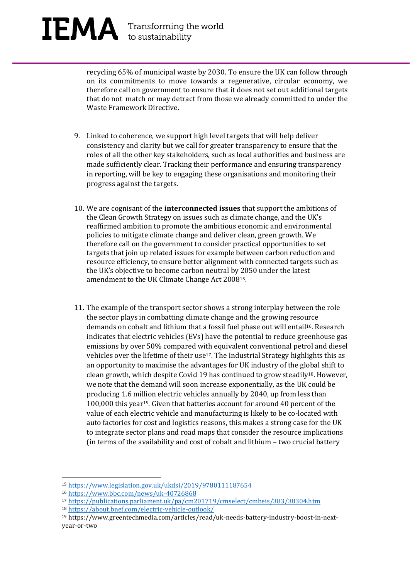recycling 65% of municipal waste by 2030. To ensure the UK can follow through on its commitments to move towards a regenerative, circular economy, we therefore call on government to ensure that it does not set out additional targets that do not match or may detract from those we already committed to under the Waste Framework Directive.

- 9. Linked to coherence, we support high level targets that will help deliver consistency and clarity but we call for greater transparency to ensure that the roles of all the other key stakeholders, such as local authorities and business are made sufficiently clear. Tracking their performance and ensuring transparency in reporting, will be key to engaging these organisations and monitoring their progress against the targets.
- 10. We are cognisant of the **interconnected issues** that support the ambitions of the Clean Growth Strategy on issues such as climate change, and the UK's reaffirmed ambition to promote the ambitious economic and environmental policies to mitigate climate change and deliver clean, green growth. We therefore call on the government to consider practical opportunities to set targets that join up related issues for example between carbon reduction and resource efficiency, to ensure better alignment with connected targets such as the UK's objective to become carbon neutral by 2050 under the latest amendment to the UK Climate Change Act 200815.
- 11. The example of the transport sector shows a strong interplay between the role the sector plays in combatting climate change and the growing resource demands on cobalt and lithium that a fossil fuel phase out will entail<sup>16</sup>. Research indicates that electric vehicles (EVs) have the potential to reduce greenhouse gas emissions by over 50% compared with equivalent conventional petrol and diesel vehicles over the lifetime of their use<sup>17</sup>. The Industrial Strategy highlights this as an opportunity to maximise the advantages for UK industry of the global shift to clean growth, which despite Covid 19 has continued to grow steadily18. However, we note that the demand will soon increase exponentially, as the UK could be producing 1.6 million electric vehicles annually by 2040, up from less than 100,000 this year19. Given that batteries account for around 40 percent of the value of each electric vehicle and manufacturing is likely to be co-located with auto factories for cost and logistics reasons, this makes a strong case for the UK to integrate sector plans and road maps that consider the resource implications (in terms of the availability and cost of cobalt and lithium – two crucial battery

<sup>17</sup> <https://publications.parliament.uk/pa/cm201719/cmselect/cmbeis/383/38304.htm> <sup>18</sup> <https://about.bnef.com/electric-vehicle-outlook/>

<sup>15</sup> <https://www.legislation.gov.uk/ukdsi/2019/9780111187654>

<sup>16</sup> <https://www.bbc.com/news/uk-40726868>

<sup>19</sup> https://www.greentechmedia.com/articles/read/uk-needs-battery-industry-boost-in-nextyear-or-two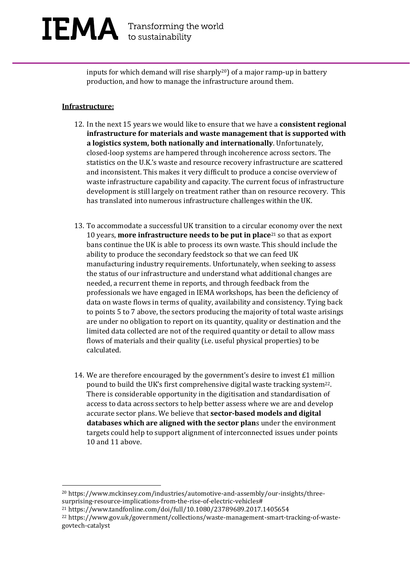inputs for which demand will rise sharply<sup>20</sup>) of a major ramp-up in battery production, and how to manage the infrastructure around them.

### **Infrastructure:**

- 12. In the next 15 years we would like to ensure that we have a **consistent regional infrastructure for materials and waste management that is supported with a logistics system, both nationally and internationally**. Unfortunately, closed-loop systems are hampered through incoherence across sectors. The statistics on the U.K.'s waste and resource recovery infrastructure are scattered and inconsistent. This makes it very difficult to produce a concise overview of waste infrastructure capability and capacity. The current focus of infrastructure development is still largely on treatment rather than on resource recovery. This has translated into numerous infrastructure challenges within the UK.
- 13. To accommodate a successful UK transition to a circular economy over the next 10 years, **more infrastructure needs to be put in place**<sup>21</sup> so that as export bans continue the UK is able to process its own waste. This should include the ability to produce the secondary feedstock so that we can feed UK manufacturing industry requirements. Unfortunately, when seeking to assess the status of our infrastructure and understand what additional changes are needed, a recurrent theme in reports, and through feedback from the professionals we have engaged in IEMA workshops, has been the deficiency of data on waste flows in terms of quality, availability and consistency. Tying back to points 5 to 7 above, the sectors producing the majority of total waste arisings are under no obligation to report on its quantity, quality or destination and the limited data collected are not of the required quantity or detail to allow mass flows of materials and their quality (i.e. useful physical properties) to be calculated.
- 14. We are therefore encouraged by the government's desire to invest  $\pm 1$  million pound to build the UK's first comprehensive digital waste tracking system22. There is considerable opportunity in the digitisation and standardisation of access to data across sectors to help better assess where we are and develop accurate sector plans. We believe that **sector-based models and digital databases which are aligned with the sector plan**s under the environment targets could help to support alignment of interconnected issues under points 10 and 11 above.

<sup>20</sup> https://www.mckinsey.com/industries/automotive-and-assembly/our-insights/threesurprising-resource-implications-from-the-rise-of-electric-vehicles#

<sup>21</sup> https://www.tandfonline.com/doi/full/10.1080/23789689.2017.1405654

<sup>22</sup> https://www.gov.uk/government/collections/waste-management-smart-tracking-of-wastegovtech-catalyst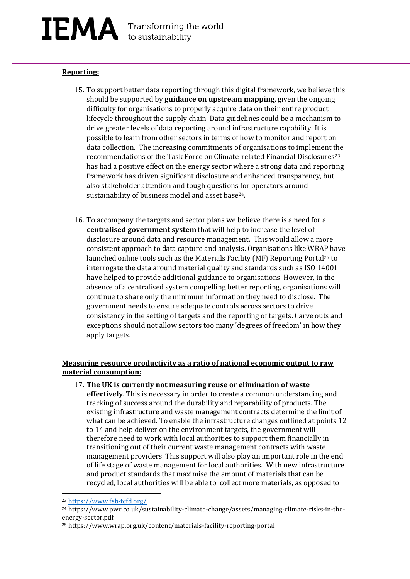### IEMA Transforming the world

### **Reporting:**

- 15. To support better data reporting through this digital framework, we believe this should be supported by **guidance on upstream mapping**, given the ongoing difficulty for organisations to properly acquire data on their entire product lifecycle throughout the supply chain. Data guidelines could be a mechanism to drive greater levels of data reporting around infrastructure capability. It is possible to learn from other sectors in terms of how to monitor and report on data collection. The increasing commitments of organisations to implement the recommendations of the Task Force on Climate-related Financial Disclosures<sup>23</sup> has had a positive effect on the energy sector where a strong data and reporting framework has driven significant disclosure and enhanced transparency, but also stakeholder attention and tough questions for operators around sustainability of business model and asset base<sup>24</sup>.
- 16. To accompany the targets and sector plans we believe there is a need for a **centralised government system** that will help to increase the level of disclosure around data and resource management. This would allow a more consistent approach to data capture and analysis. Organisations like WRAP have launched online tools such as the Materials Facility (MF) Reporting Portal<sup>25</sup> to interrogate the data around material quality and standards such as ISO 14001 have helped to provide additional guidance to organisations. However, in the absence of a centralised system compelling better reporting, organisations will continue to share only the minimum information they need to disclose. The government needs to ensure adequate controls across sectors to drive consistency in the setting of targets and the reporting of targets. Carve outs and exceptions should not allow sectors too many 'degrees of freedom' in how they apply targets.

### **Measuring resource productivity as a ratio of national economic output to raw material consumption:**

17. **The UK is currently not measuring reuse or elimination of waste effectively**. This is necessary in order to create a common understanding and tracking of success around the durability and reparability of products. The existing infrastructure and waste management contracts determine the limit of what can be achieved. To enable the infrastructure changes outlined at points 12 to 14 and help deliver on the environment targets, the government will therefore need to work with local authorities to support them financially in transitioning out of their current waste management contracts with waste management providers. This support will also play an important role in the end of life stage of waste management for local authorities. With new infrastructure and product standards that maximise the amount of materials that can be recycled, local authorities will be able to collect more materials, as opposed to

<sup>25</sup> https://www.wrap.org.uk/content/materials-facility-reporting-portal

<sup>23</sup> <https://www.fsb-tcfd.org/>

<sup>24</sup> https://www.pwc.co.uk/sustainability-climate-change/assets/managing-climate-risks-in-theenergy-sector.pdf